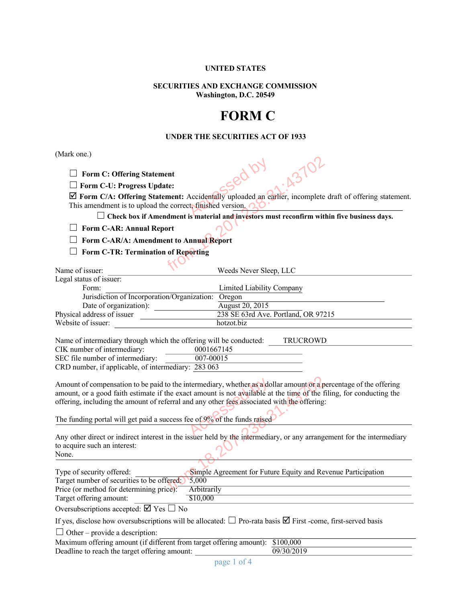# **UNITED STATES**

## **SECURITIES AND EXCHANGE COMMISSION Washington, D.C. 20549**

# **FORM C**

## **UNDER THE SECURITIES ACT OF 1933**

(Mark one.)

| $\Box$ Form C: Offering Statement                                                     | 43702<br>ied by                                                                                                             |  |  |  |  |
|---------------------------------------------------------------------------------------|-----------------------------------------------------------------------------------------------------------------------------|--|--|--|--|
| $\Box$ Form C-U: Progress Update:                                                     |                                                                                                                             |  |  |  |  |
|                                                                                       | $\boxtimes$ Form C/A: Offering Statement: Accidentally uploaded an earlier, incomplete draft of offering statement.         |  |  |  |  |
| This amendment is to upload the correct, finished version. $\bigcap$                  |                                                                                                                             |  |  |  |  |
|                                                                                       | $\Box$ Check box if Amendment is material and investors must reconfirm within five business days.                           |  |  |  |  |
| <b>Form C-AR: Annual Report</b>                                                       |                                                                                                                             |  |  |  |  |
| Form C-AR/A: Amendment to Annual Report<br><b>Form C-TR: Termination of Reporting</b> |                                                                                                                             |  |  |  |  |
|                                                                                       |                                                                                                                             |  |  |  |  |
| Name of issuer:                                                                       | Weeds Never Sleep, LLC                                                                                                      |  |  |  |  |
| Legal status of issuer:                                                               |                                                                                                                             |  |  |  |  |
| Form:                                                                                 | Limited Liability Company                                                                                                   |  |  |  |  |
| Jurisdiction of Incorporation/Organization: Oregon                                    |                                                                                                                             |  |  |  |  |
| Date of organization):                                                                | August 20, 2015                                                                                                             |  |  |  |  |
| Physical address of issuer                                                            | 238 SE 63rd Ave. Portland, OR 97215                                                                                         |  |  |  |  |
| Website of issuer:                                                                    | hotzot.biz                                                                                                                  |  |  |  |  |
|                                                                                       |                                                                                                                             |  |  |  |  |
| Name of intermediary through which the offering will be conducted:                    | TRUCROWD                                                                                                                    |  |  |  |  |
| CIK number of intermediary:                                                           | 0001667145                                                                                                                  |  |  |  |  |
| SEC file number of intermediary:                                                      | $007 - 00015$                                                                                                               |  |  |  |  |
| CRD number, if applicable, of intermediary: 283 063                                   |                                                                                                                             |  |  |  |  |
|                                                                                       | Amount of compensation to be paid to the intermediary, whether as a dollar amount or a percentage of the offering           |  |  |  |  |
|                                                                                       | amount, or a good faith estimate if the exact amount is not available at the time of the filing, for conducting the         |  |  |  |  |
|                                                                                       | offering, including the amount of referral and any other fees associated with the offering:                                 |  |  |  |  |
|                                                                                       |                                                                                                                             |  |  |  |  |
| The funding portal will get paid a success fee of 9% of the funds raised              |                                                                                                                             |  |  |  |  |
|                                                                                       |                                                                                                                             |  |  |  |  |
|                                                                                       | Any other direct or indirect interest in the issuer held by the intermediary, or any arrangement for the intermediary       |  |  |  |  |
| to acquire such an interest:                                                          |                                                                                                                             |  |  |  |  |
| None.                                                                                 |                                                                                                                             |  |  |  |  |
|                                                                                       |                                                                                                                             |  |  |  |  |
| Type of security offered:                                                             | Simple Agreement for Future Equity and Revenue Participation                                                                |  |  |  |  |
| Target number of securities to be offered:                                            | 5,000                                                                                                                       |  |  |  |  |
| Price (or method for determining price):                                              | Arbitrarily                                                                                                                 |  |  |  |  |
| Target offering amount:                                                               | \$10,000                                                                                                                    |  |  |  |  |
| Oversubscriptions accepted: $\boxtimes$ Yes $\Box$ No                                 |                                                                                                                             |  |  |  |  |
|                                                                                       | If yes, disclose how oversubscriptions will be allocated: $\square$ Pro-rata basis $\square$ First-come, first-served basis |  |  |  |  |
| $\Box$ Other – provide a description:                                                 |                                                                                                                             |  |  |  |  |
| Maximum offering amount (if different from target offering amount): \$100,000         |                                                                                                                             |  |  |  |  |
|                                                                                       |                                                                                                                             |  |  |  |  |

Deadline to reach the target offering amount: 09/30/2019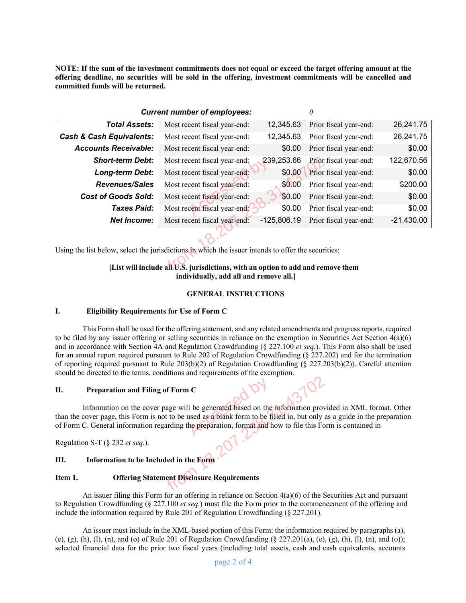**NOTE: If the sum of the investment commitments does not equal or exceed the target offering amount at the offering deadline, no securities will be sold in the offering, investment commitments will be cancelled and committed funds will be returned.**

| <b>Current number of employees:</b>                                                                                        |                              |               |                        |              |  |
|----------------------------------------------------------------------------------------------------------------------------|------------------------------|---------------|------------------------|--------------|--|
| <b>Total Assets:</b>                                                                                                       | Most recent fiscal year-end: | 12,345.63     | Prior fiscal year-end: | 26,241.75    |  |
| <b>Cash &amp; Cash Equivalents:</b>                                                                                        | Most recent fiscal year-end: | 12,345.63     | Prior fiscal year-end: | 26,241.75    |  |
| <b>Accounts Receivable:</b>                                                                                                | Most recent fiscal year-end: | \$0.00        | Prior fiscal year-end: | \$0.00       |  |
| <b>Short-term Debt:</b>                                                                                                    | Most recent fiscal year-end: | 239,253.66    | Prior fiscal year-end: | 122,670.56   |  |
| Long-term Debt:                                                                                                            | Most recent fiscal year-end: | \$0.00        | Prior fiscal year-end: | \$0.00       |  |
| <b>Revenues/Sales</b>                                                                                                      | Most recent fiscal year-end: | \$0.00        | Prior fiscal year-end: | \$200.00     |  |
| <b>Cost of Goods Sold:</b>                                                                                                 | Most recent fiscal year-end: | \$0.00        | Prior fiscal year-end: | \$0.00       |  |
| Taxes Paid:                                                                                                                | Most recent fiscal year-end: | \$0.00        | Prior fiscal year-end: | \$0.00       |  |
| <b>Net Income:</b>                                                                                                         | Most recent fiscal year-end: | $-125,806.19$ | Prior fiscal year-end: | $-21,430.00$ |  |
|                                                                                                                            |                              |               |                        |              |  |
| Using the list below, select the jurisdictions in which the issuer intends to offer the securities:                        |                              |               |                        |              |  |
| [List will include all U.S. jurisdictions, with an option to add and remove them<br>individually, add all and remove all.] |                              |               |                        |              |  |
| CENERAL INSTRIICTIONS                                                                                                      |                              |               |                        |              |  |

## **[List will include all U.S. jurisdictions, with an option to add and remove them individually, add all and remove all.]**

## **GENERAL INSTRUCTIONS**

## **I. Eligibility Requirements for Use of Form C**

This Form shall be used for the offering statement, and any related amendments and progress reports, required to be filed by any issuer offering or selling securities in reliance on the exemption in Securities Act Section 4(a)(6) and in accordance with Section 4A and Regulation Crowdfunding (§ 227.100 *et seq.*). This Form also shall be used for an annual report required pursuant to Rule 202 of Regulation Crowdfunding (§ 227.202) and for the termination of reporting required pursuant to Rule  $203(b)(2)$  of Regulation Crowdfunding (§ 227.203(b)(2)). Careful attention should be directed to the terms, conditions and requirements of the exemption.

#### **II. Preparation and Filing of Form C**

Information on the cover page will be generated based on the information provided in XML format. Other than the cover page, this Form is not to be used as a blank form to be filled in, but only as a guide in the preparation of Form C. General information regarding the preparation, format and how to file this Form is contained in C<br>
1 be generated based on the<br>
used as a blank form to be f<br>
the preparation, format and h Filing of Form C<br>
cover page will be generated based on the information proton<br>
from is not to be used as a blank form to be filled in, but only the<br>
state in equal to the properation, formation how to file this Form<br>
4.)

Regulation S-T (§ 232 *et seq.*).

## **III. Information to be Included in the Form**

## **Item 1. Offering Statement Disclosure Requirements**

An issuer filing this Form for an offering in reliance on Section  $4(a)(6)$  of the Securities Act and pursuant to Regulation Crowdfunding (§ 227.100 *et seq.*) must file the Form prior to the commencement of the offering and include the information required by Rule 201 of Regulation Crowdfunding (§ 227.201).

An issuer must include in the XML-based portion of this Form: the information required by paragraphs (a), (e), (g), (h), (l), (n), and (o) of Rule 201 of Regulation Crowdfunding  $(\S 227.201(a), (e), (g), (h), (l), (n),$  and (o)); selected financial data for the prior two fiscal years (including total assets, cash and cash equivalents, accounts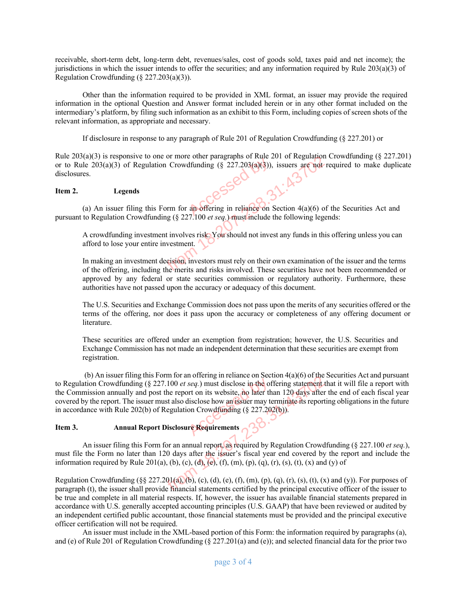receivable, short-term debt, long-term debt, revenues/sales, cost of goods sold, taxes paid and net income); the jurisdictions in which the issuer intends to offer the securities; and any information required by Rule 203(a)(3) of Regulation Crowdfunding  $(\S$  227.203(a)(3)).

Other than the information required to be provided in XML format, an issuer may provide the required information in the optional Question and Answer format included herein or in any other format included on the intermediary's platform, by filing such information as an exhibit to this Form, including copies of screen shots of the relevant information, as appropriate and necessary.

If disclosure in response to any paragraph of Rule 201 of Regulation Crowdfunding (§ 227.201) or

Rule 203(a)(3) is responsive to one or more other paragraphs of Rule 201 of Regulation Crowdfunding (§ 227.201) or to Rule 203(a)(3) of Regulation Crowdfunding (§ 227.203(a)(3)), issuers are not required to make duplicate disclosures.<br>
<br> **Item 2.** Legends<br>
(a) An issuer filing this Form for an offering in reliance on Section 4(a)(6) disclosures.

#### **Item 2. Legends**

(a) An issuer filing this Form for an offering in reliance on Section 4(a)(6) of the Securities Act and pursuant to Regulation Crowdfunding (§ 227.100 *et seq.*) must include the following legends:

A crowdfunding investment involves risk. You should not invest any funds in this offering unless you can afford to lose your entire investment.

In making an investment decision, investors must rely on their own examination of the issuer and the terms of the offering, including the merits and risks involved. These securities have not been recommended or approved by any federal or state securities commission or regulatory authority. Furthermore, these authorities have not passed upon the accuracy or adequacy of this document. g this Form for an offering in reliance on Section 4(a)(6) of<br>guilation Crowdfunding (§ 227.203(a)(3)), issuers are not in<br>guilation Crowdfunding (§ 227.203(a)(3)), issuers are not in<br>guilation Crowdfunding (§ 227.100 *et* 

The U.S. Securities and Exchange Commission does not pass upon the merits of any securities offered or the terms of the offering, nor does it pass upon the accuracy or completeness of any offering document or literature.

These securities are offered under an exemption from registration; however, the U.S. Securities and Exchange Commission has not made an independent determination that these securities are exempt from registration.

(b) An issuer filing this Form for an offering in reliance on Section  $4(a)(6)$  of the Securities Act and pursuant to Regulation Crowdfunding (§ 227.100 *et seq.*) must disclose in the offering statement that it will file a report with the Commission annually and post the report on its website, no later than 120 days after the end of each fiscal year covered by the report. The issuer must also disclose how an issuer may terminate its reporting obligations in the future in accordance with Rule 202(b) of Regulation Crowdfunding (§ 227.202(b)). seq.) must disclose in the of<br>rt on its website, no later the<br>lisclose how an issuer may to<br>on Crowdfunding (§ 227.20) g (§ 227.100 *et seq.*) must disclose in the offering statement ind post the report on its website, no later than 120 days after suer must also disclose how an issuer may terminate its report and post the report on its we

# **Item 3. Annual Report Disclosure Requirements**

An issuer filing this Form for an annual report, as required by Regulation Crowdfunding (§ 227.100 *et seq.*), must file the Form no later than 120 days after the issuer's fiscal year end covered by the report and include the information required by Rule 201(a), (b), (c), (d), (e), (f), (m), (p), (q), (r), (s), (t), (x) and (y) of

Regulation Crowdfunding  $(\xi \xi 227.201(a), (b), (c), (d), (e), (f), (m), (p), (q), (r), (s), (t), (x)$  and (y)). For purposes of paragraph (t), the issuer shall provide financial statements certified by the principal executive officer of the issuer to be true and complete in all material respects. If, however, the issuer has available financial statements prepared in accordance with U.S. generally accepted accounting principles (U.S. GAAP) that have been reviewed or audited by an independent certified public accountant, those financial statements must be provided and the principal executive officer certification will not be required.

An issuer must include in the XML-based portion of this Form: the information required by paragraphs (a), and (e) of Rule 201 of Regulation Crowdfunding ( $\S 227.201(a)$  and (e)); and selected financial data for the prior two